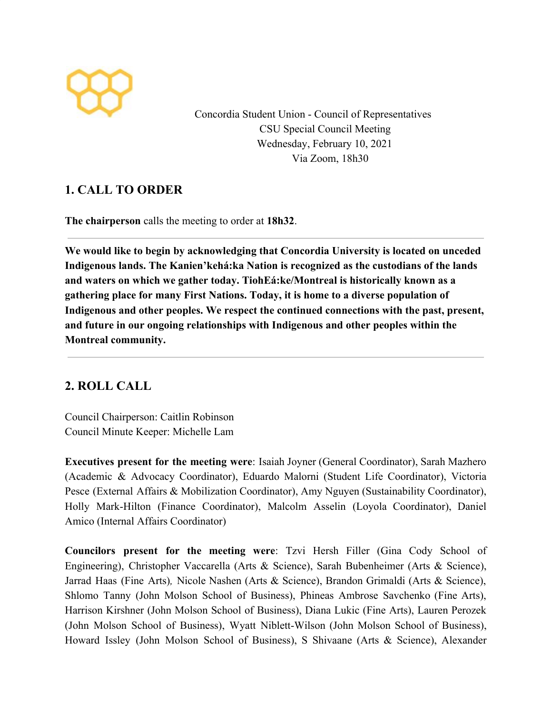

Concordia Student Union - Council of Representatives CSU Special Council Meeting Wednesday, February 10, 2021 Via Zoom, 18h30

# **1. CALL TO ORDER**

**The chairperson** calls the meeting to order at **18h32**.

**We would like to begin by acknowledging that Concordia University is located on unceded Indigenous lands. The Kanien'kehá:ka Nation is recognized as the custodians of the lands and waters on which we gather today. TiohEá:ke/Montreal is historically known as a gathering place for many First Nations. Today, it is home to a diverse population of Indigenous and other peoples. We respect the continued connections with the past, present, and future in our ongoing relationships with Indigenous and other peoples within the Montreal community.**

# **2. ROLL CALL**

Council Chairperson: Caitlin Robinson Council Minute Keeper: Michelle Lam

**Executives present for the meeting were**: Isaiah Joyner (General Coordinator), Sarah Mazhero (Academic & Advocacy Coordinator), Eduardo Malorni (Student Life Coordinator), Victoria Pesce (External Affairs & Mobilization Coordinator), Amy Nguyen (Sustainability Coordinator), Holly Mark-Hilton (Finance Coordinator), Malcolm Asselin (Loyola Coordinator), Daniel Amico (Internal Affairs Coordinator)

**Councilors present for the meeting were**: Tzvi Hersh Filler (Gina Cody School of Engineering), Christopher Vaccarella (Arts & Science), Sarah Bubenheimer (Arts & Science), Jarrad Haas (Fine Arts)*,* Nicole Nashen (Arts & Science), Brandon Grimaldi (Arts & Science), Shlomo Tanny (John Molson School of Business), Phineas Ambrose Savchenko (Fine Arts), Harrison Kirshner (John Molson School of Business), Diana Lukic (Fine Arts), Lauren Perozek (John Molson School of Business), Wyatt Niblett-Wilson (John Molson School of Business), Howard Issley (John Molson School of Business), S Shivaane (Arts & Science), Alexander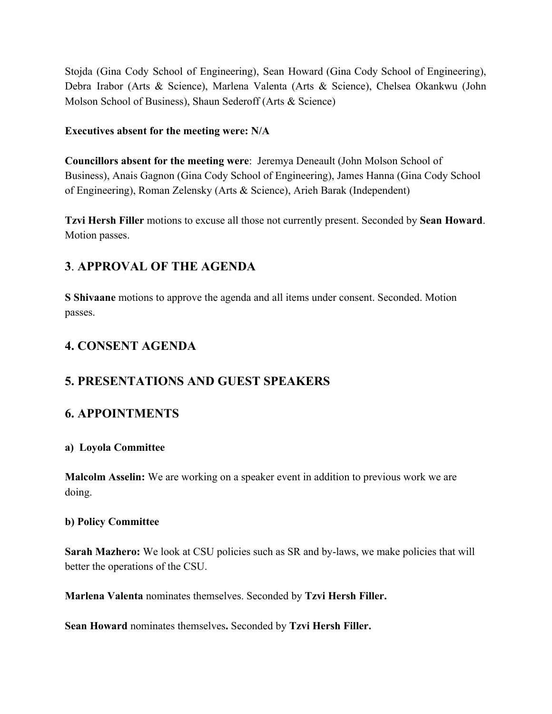Stojda (Gina Cody School of Engineering), Sean Howard (Gina Cody School of Engineering), Debra Irabor (Arts & Science), Marlena Valenta (Arts & Science), Chelsea Okankwu (John Molson School of Business), Shaun Sederoff (Arts & Science)

### **Executives absent for the meeting were: N/A**

**Councillors absent for the meeting were**: Jeremya Deneault (John Molson School of Business), Anais Gagnon (Gina Cody School of Engineering), James Hanna (Gina Cody School of Engineering), Roman Zelensky (Arts & Science), Arieh Barak (Independent)

**Tzvi Hersh Filler** motions to excuse all those not currently present. Seconded by **Sean Howard**. Motion passes.

# **3**. **APPROVAL OF THE AGENDA**

**S Shivaane** motions to approve the agenda and all items under consent. Seconded. Motion passes.

# **4. CONSENT AGENDA**

## **5. PRESENTATIONS AND GUEST SPEAKERS**

## **6. APPOINTMENTS**

## **a) Loyola Committee**

**Malcolm Asselin:** We are working on a speaker event in addition to previous work we are doing.

#### **b) Policy Committee**

**Sarah Mazhero:** We look at CSU policies such as SR and by-laws, we make policies that will better the operations of the CSU.

**Marlena Valenta** nominates themselves. Seconded by **Tzvi Hersh Filler.**

**Sean Howard** nominates themselves**.** Seconded by **Tzvi Hersh Filler.**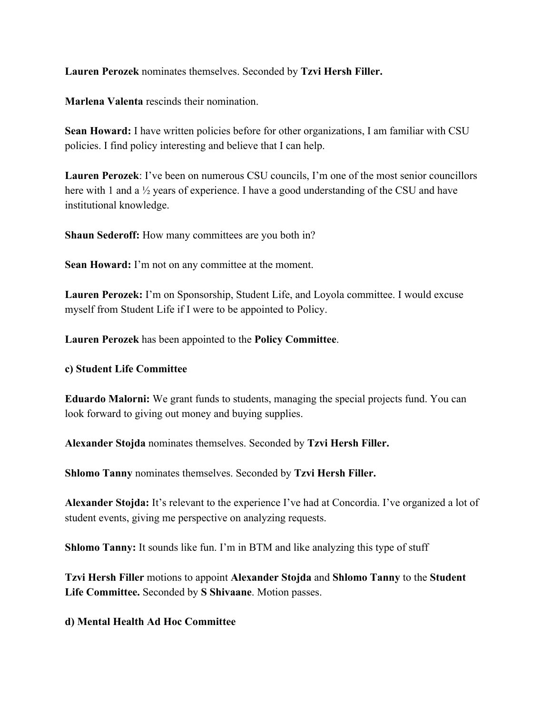**Lauren Perozek** nominates themselves. Seconded by **Tzvi Hersh Filler.**

**Marlena Valenta** rescinds their nomination.

**Sean Howard:** I have written policies before for other organizations, I am familiar with CSU policies. I find policy interesting and believe that I can help.

**Lauren Perozek**: I've been on numerous CSU councils, I'm one of the most senior councillors here with 1 and a  $\frac{1}{2}$  years of experience. I have a good understanding of the CSU and have institutional knowledge.

**Shaun Sederoff:** How many committees are you both in?

**Sean Howard:** I'm not on any committee at the moment.

**Lauren Perozek:** I'm on Sponsorship, Student Life, and Loyola committee. I would excuse myself from Student Life if I were to be appointed to Policy.

**Lauren Perozek** has been appointed to the **Policy Committee**.

#### **c) Student Life Committee**

**Eduardo Malorni:** We grant funds to students, managing the special projects fund. You can look forward to giving out money and buying supplies.

**Alexander Stojda** nominates themselves. Seconded by **Tzvi Hersh Filler.**

**Shlomo Tanny** nominates themselves. Seconded by **Tzvi Hersh Filler.**

**Alexander Stojda:** It's relevant to the experience I've had at Concordia. I've organized a lot of student events, giving me perspective on analyzing requests.

**Shlomo Tanny:** It sounds like fun. I'm in BTM and like analyzing this type of stuff

**Tzvi Hersh Filler** motions to appoint **Alexander Stojda** and **Shlomo Tanny** to the **Student Life Committee.** Seconded by **S Shivaane**. Motion passes.

## **d) Mental Health Ad Hoc Committee**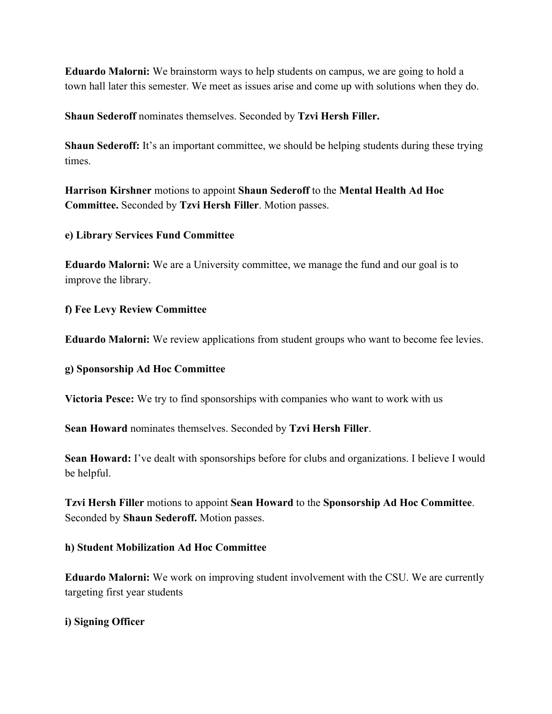**Eduardo Malorni:** We brainstorm ways to help students on campus, we are going to hold a town hall later this semester. We meet as issues arise and come up with solutions when they do.

**Shaun Sederoff** nominates themselves. Seconded by **Tzvi Hersh Filler.**

**Shaun Sederoff:** It's an important committee, we should be helping students during these trying times.

**Harrison Kirshner** motions to appoint **Shaun Sederoff** to the **Mental Health Ad Hoc Committee.** Seconded by **Tzvi Hersh Filler**. Motion passes.

#### **e) Library Services Fund Committee**

**Eduardo Malorni:** We are a University committee, we manage the fund and our goal is to improve the library.

#### **f) Fee Levy Review Committee**

**Eduardo Malorni:** We review applications from student groups who want to become fee levies.

#### **g) Sponsorship Ad Hoc Committee**

**Victoria Pesce:** We try to find sponsorships with companies who want to work with us

**Sean Howard** nominates themselves. Seconded by **Tzvi Hersh Filler**.

**Sean Howard:** I've dealt with sponsorships before for clubs and organizations. I believe I would be helpful.

**Tzvi Hersh Filler** motions to appoint **Sean Howard** to the **Sponsorship Ad Hoc Committee**. Seconded by **Shaun Sederoff.** Motion passes.

#### **h) Student Mobilization Ad Hoc Committee**

**Eduardo Malorni:** We work on improving student involvement with the CSU. We are currently targeting first year students

#### **i) Signing Officer**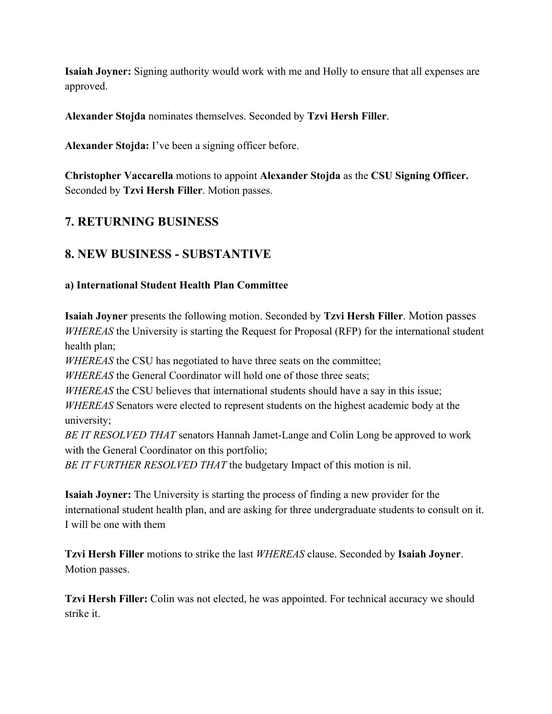**Isaiah Joyner:** Signing authority would work with me and Holly to ensure that all expenses are approved.

**Alexander Stojda** nominates themselves. Seconded by **Tzvi Hersh Filler**.

**Alexander Stojda:** I've been a signing officer before.

**Christopher Vaccarella** motions to appoint **Alexander Stojda** as the **CSU Signing Officer.** Seconded by **Tzvi Hersh Filler**. Motion passes.

## **7. RETURNING BUSINESS**

# **8. NEW BUSINESS - SUBSTANTIVE**

## **a) International Student Health Plan Committee**

**Isaiah Joyner** presents the following motion. Seconded by **Tzvi Hersh Filler**. Motion passes *WHEREAS* the University is starting the Request for Proposal (RFP) for the international student health plan;

*WHEREAS* the CSU has negotiated to have three seats on the committee;

*WHEREAS* the General Coordinator will hold one of those three seats;

*WHEREAS* the CSU believes that international students should have a say in this issue;

*WHEREAS* Senators were elected to represent students on the highest academic body at the university;

*BE IT RESOLVED THAT* senators Hannah Jamet-Lange and Colin Long be approved to work with the General Coordinator on this portfolio;

*BE IT FURTHER RESOLVED THAT* the budgetary Impact of this motion is nil.

**Isaiah Joyner:** The University is starting the process of finding a new provider for the international student health plan, and are asking for three undergraduate students to consult on it. I will be one with them

**Tzvi Hersh Filler** motions to strike the last *WHEREAS* clause. Seconded by **Isaiah Joyner**. Motion passes.

**Tzvi Hersh Filler:** Colin was not elected, he was appointed. For technical accuracy we should strike it.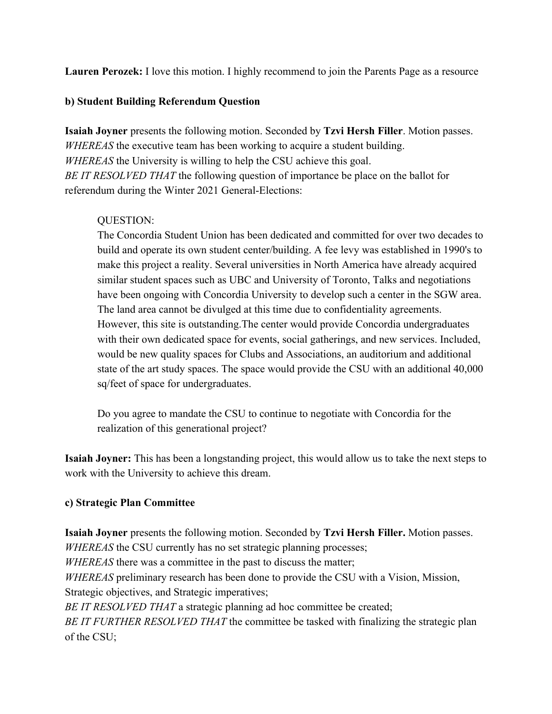**Lauren Perozek:** I love this motion. I highly recommend to join the Parents Page as a resource

### **b) Student Building Referendum Question**

**Isaiah Joyner** presents the following motion. Seconded by **Tzvi Hersh Filler**. Motion passes. *WHEREAS* the executive team has been working to acquire a student building. *WHEREAS* the University is willing to help the CSU achieve this goal. *BE IT RESOLVED THAT* the following question of importance be place on the ballot for referendum during the Winter 2021 General-Elections:

## QUESTION:

The Concordia Student Union has been dedicated and committed for over two decades to build and operate its own student center/building. A fee levy was established in 1990's to make this project a reality. Several universities in North America have already acquired similar student spaces such as UBC and University of Toronto, Talks and negotiations have been ongoing with Concordia University to develop such a center in the SGW area. The land area cannot be divulged at this time due to confidentiality agreements. However, this site is outstanding.The center would provide Concordia undergraduates with their own dedicated space for events, social gatherings, and new services. Included, would be new quality spaces for Clubs and Associations, an auditorium and additional state of the art study spaces. The space would provide the CSU with an additional 40,000 sq/feet of space for undergraduates.

Do you agree to mandate the CSU to continue to negotiate with Concordia for the realization of this generational project?

**Isaiah Joyner:** This has been a longstanding project, this would allow us to take the next steps to work with the University to achieve this dream.

## **c) Strategic Plan Committee**

**Isaiah Joyner** presents the following motion. Seconded by **Tzvi Hersh Filler.** Motion passes. *WHEREAS* the CSU currently has no set strategic planning processes; *WHEREAS* there was a committee in the past to discuss the matter; *WHEREAS* preliminary research has been done to provide the CSU with a Vision, Mission, Strategic objectives, and Strategic imperatives; *BE IT RESOLVED THAT* a strategic planning ad hoc committee be created; *BE IT FURTHER RESOLVED THAT* the committee be tasked with finalizing the strategic plan of the CSU;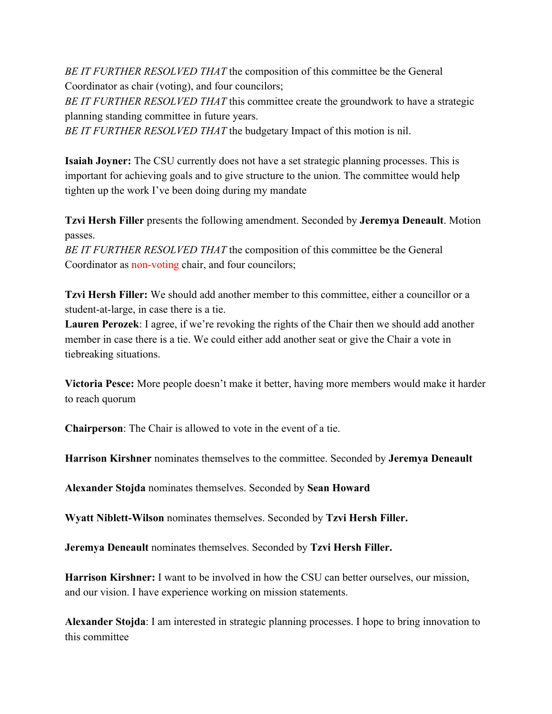*BE IT FURTHER RESOLVED THAT* the composition of this committee be the General Coordinator as chair (voting), and four councilors; *BE IT FURTHER RESOLVED THAT* this committee create the groundwork to have a strategic

planning standing committee in future years.

*BE IT FURTHER RESOLVED THAT* the budgetary Impact of this motion is nil.

**Isaiah Joyner:** The CSU currently does not have a set strategic planning processes. This is important for achieving goals and to give structure to the union. The committee would help tighten up the work I've been doing during my mandate

**Tzvi Hersh Filler** presents the following amendment. Seconded by **Jeremya Deneault**. Motion passes.

*BE IT FURTHER RESOLVED THAT* the composition of this committee be the General Coordinator as non-voting chair, and four councilors;

**Tzvi Hersh Filler:** We should add another member to this committee, either a councillor or a student-at-large, in case there is a tie.

**Lauren Perozek**: I agree, if we're revoking the rights of the Chair then we should add another member in case there is a tie. We could either add another seat or give the Chair a vote in tiebreaking situations.

**Victoria Pesce:** More people doesn't make it better, having more members would make it harder to reach quorum

**Chairperson**: The Chair is allowed to vote in the event of a tie.

**Harrison Kirshner** nominates themselves to the committee. Seconded by **Jeremya Deneault**

**Alexander Stojda** nominates themselves. Seconded by **Sean Howard**

**Wyatt Niblett-Wilson** nominates themselves. Seconded by **Tzvi Hersh Filler.**

**Jeremya Deneault** nominates themselves. Seconded by **Tzvi Hersh Filler.**

**Harrison Kirshner:** I want to be involved in how the CSU can better ourselves, our mission, and our vision. I have experience working on mission statements.

**Alexander Stojda**: I am interested in strategic planning processes. I hope to bring innovation to this committee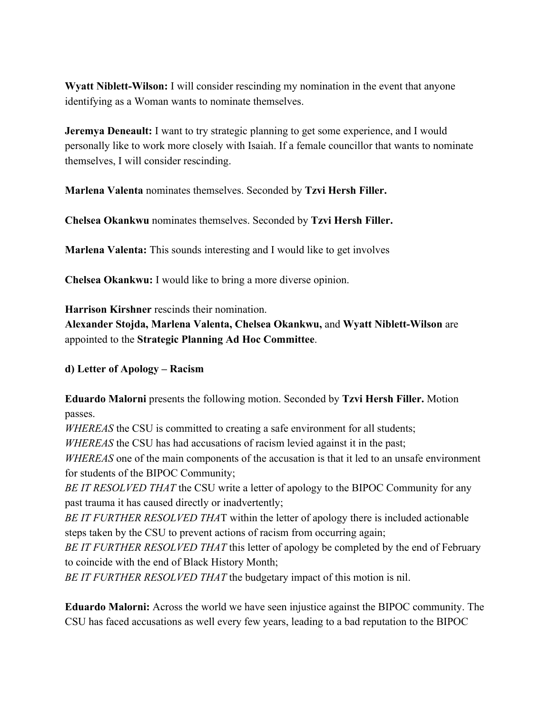**Wyatt Niblett-Wilson:** I will consider rescinding my nomination in the event that anyone identifying as a Woman wants to nominate themselves.

**Jeremya Deneault:** I want to try strategic planning to get some experience, and I would personally like to work more closely with Isaiah. If a female councillor that wants to nominate themselves, I will consider rescinding.

**Marlena Valenta** nominates themselves. Seconded by **Tzvi Hersh Filler.**

**Chelsea Okankwu** nominates themselves. Seconded by **Tzvi Hersh Filler.**

**Marlena Valenta:** This sounds interesting and I would like to get involves

**Chelsea Okankwu:** I would like to bring a more diverse opinion.

**Harrison Kirshner** rescinds their nomination.

**Alexander Stojda, Marlena Valenta, Chelsea Okankwu,** and **Wyatt Niblett-Wilson** are appointed to the **Strategic Planning Ad Hoc Committee**.

**d) Letter of Apology – Racism**

**Eduardo Malorni** presents the following motion. Seconded by **Tzvi Hersh Filler.** Motion passes.

*WHEREAS* the CSU is committed to creating a safe environment for all students;

*WHEREAS* the CSU has had accusations of racism levied against it in the past;

*WHEREAS* one of the main components of the accusation is that it led to an unsafe environment for students of the BIPOC Community;

*BE IT RESOLVED THAT* the CSU write a letter of apology to the BIPOC Community for any past trauma it has caused directly or inadvertently;

*BE IT FURTHER RESOLVED THA*T within the letter of apology there is included actionable steps taken by the CSU to prevent actions of racism from occurring again;

*BE IT FURTHER RESOLVED THAT* this letter of apology be completed by the end of February to coincide with the end of Black History Month;

*BE IT FURTHER RESOLVED THAT* the budgetary impact of this motion is nil.

**Eduardo Malorni:** Across the world we have seen injustice against the BIPOC community. The CSU has faced accusations as well every few years, leading to a bad reputation to the BIPOC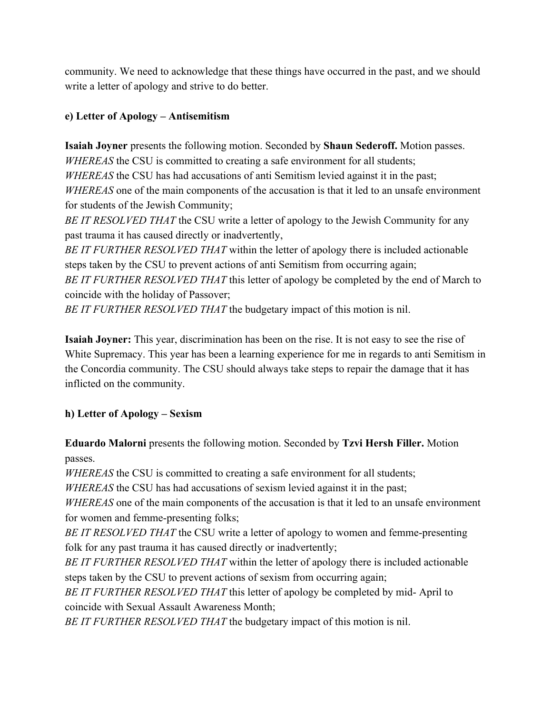community. We need to acknowledge that these things have occurred in the past, and we should write a letter of apology and strive to do better.

## **e) Letter of Apology – Antisemitism**

**Isaiah Joyner** presents the following motion. Seconded by **Shaun Sederoff.** Motion passes. *WHEREAS* the CSU is committed to creating a safe environment for all students; *WHEREAS* the CSU has had accusations of anti Semitism levied against it in the past; *WHEREAS* one of the main components of the accusation is that it led to an unsafe environment for students of the Jewish Community;

*BE IT RESOLVED THAT* the CSU write a letter of apology to the Jewish Community for any past trauma it has caused directly or inadvertently,

*BE IT FURTHER RESOLVED THAT* within the letter of apology there is included actionable steps taken by the CSU to prevent actions of anti Semitism from occurring again;

*BE IT FURTHER RESOLVED THAT* this letter of apology be completed by the end of March to coincide with the holiday of Passover;

*BE IT FURTHER RESOLVED THAT* the budgetary impact of this motion is nil.

**Isaiah Joyner:** This year, discrimination has been on the rise. It is not easy to see the rise of White Supremacy. This year has been a learning experience for me in regards to anti Semitism in the Concordia community. The CSU should always take steps to repair the damage that it has inflicted on the community.

## **h) Letter of Apology – Sexism**

**Eduardo Malorni** presents the following motion. Seconded by **Tzvi Hersh Filler.** Motion passes.

*WHEREAS* the CSU is committed to creating a safe environment for all students;

*WHEREAS* the CSU has had accusations of sexism levied against it in the past;

*WHEREAS* one of the main components of the accusation is that it led to an unsafe environment for women and femme-presenting folks;

*BE IT RESOLVED THAT* the CSU write a letter of apology to women and femme-presenting folk for any past trauma it has caused directly or inadvertently;

*BE IT FURTHER RESOLVED THAT* within the letter of apology there is included actionable steps taken by the CSU to prevent actions of sexism from occurring again;

*BE IT FURTHER RESOLVED THAT* this letter of apology be completed by mid- April to coincide with Sexual Assault Awareness Month;

*BE IT FURTHER RESOLVED THAT* the budgetary impact of this motion is nil.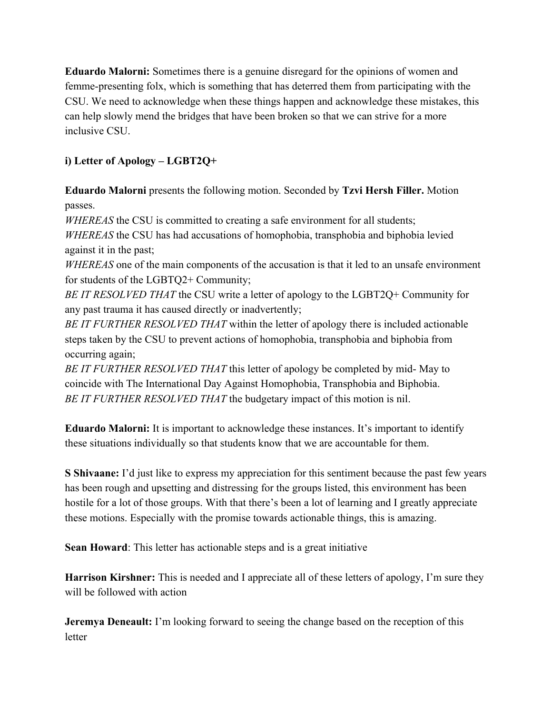**Eduardo Malorni:** Sometimes there is a genuine disregard for the opinions of women and femme-presenting folx, which is something that has deterred them from participating with the CSU. We need to acknowledge when these things happen and acknowledge these mistakes, this can help slowly mend the bridges that have been broken so that we can strive for a more inclusive CSU.

## **i) Letter of Apology – LGBT2Q+**

**Eduardo Malorni** presents the following motion. Seconded by **Tzvi Hersh Filler.** Motion passes.

*WHEREAS* the CSU is committed to creating a safe environment for all students;

*WHEREAS* the CSU has had accusations of homophobia, transphobia and biphobia levied against it in the past;

*WHEREAS* one of the main components of the accusation is that it led to an unsafe environment for students of the LGBTQ2+ Community;

*BE IT RESOLVED THAT* the CSU write a letter of apology to the LGBT2Q+ Community for any past trauma it has caused directly or inadvertently;

*BE IT FURTHER RESOLVED THAT* within the letter of apology there is included actionable steps taken by the CSU to prevent actions of homophobia, transphobia and biphobia from occurring again;

*BE IT FURTHER RESOLVED THAT* this letter of apology be completed by mid- May to coincide with The International Day Against Homophobia, Transphobia and Biphobia. *BE IT FURTHER RESOLVED THAT* the budgetary impact of this motion is nil.

**Eduardo Malorni:** It is important to acknowledge these instances. It's important to identify these situations individually so that students know that we are accountable for them.

**S Shivaane:** I'd just like to express my appreciation for this sentiment because the past few years has been rough and upsetting and distressing for the groups listed, this environment has been hostile for a lot of those groups. With that there's been a lot of learning and I greatly appreciate these motions. Especially with the promise towards actionable things, this is amazing.

**Sean Howard**: This letter has actionable steps and is a great initiative

**Harrison Kirshner:** This is needed and I appreciate all of these letters of apology, I'm sure they will be followed with action

**Jeremya Deneault:** I'm looking forward to seeing the change based on the reception of this letter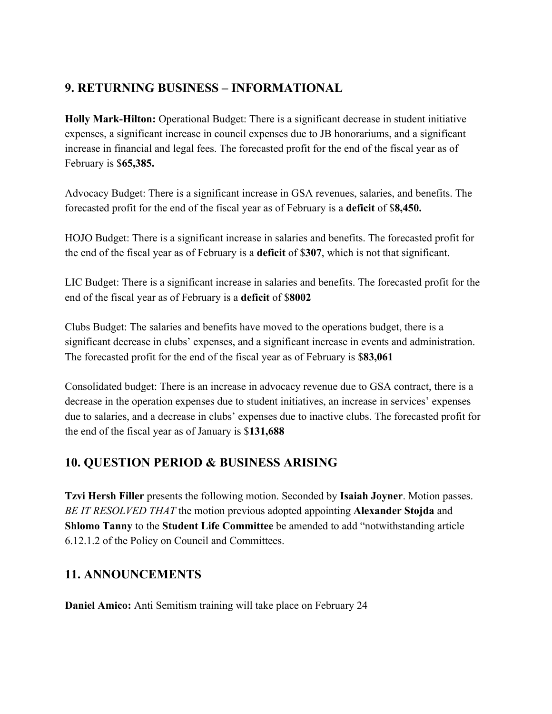# **9. RETURNING BUSINESS – INFORMATIONAL**

**Holly Mark-Hilton:** Operational Budget: There is a significant decrease in student initiative expenses, a significant increase in council expenses due to JB honorariums, and a significant increase in financial and legal fees. The forecasted profit for the end of the fiscal year as of February is \$**65,385.**

Advocacy Budget: There is a significant increase in GSA revenues, salaries, and benefits. The forecasted profit for the end of the fiscal year as of February is a **deficit** of \$**8,450.**

HOJO Budget: There is a significant increase in salaries and benefits. The forecasted profit for the end of the fiscal year as of February is a **deficit** of \$**307**, which is not that significant.

LIC Budget: There is a significant increase in salaries and benefits. The forecasted profit for the end of the fiscal year as of February is a **deficit** of \$**8002**

Clubs Budget: The salaries and benefits have moved to the operations budget, there is a significant decrease in clubs' expenses, and a significant increase in events and administration. The forecasted profit for the end of the fiscal year as of February is \$**83,061**

Consolidated budget: There is an increase in advocacy revenue due to GSA contract, there is a decrease in the operation expenses due to student initiatives, an increase in services' expenses due to salaries, and a decrease in clubs' expenses due to inactive clubs. The forecasted profit for the end of the fiscal year as of January is \$**131,688**

## **10. QUESTION PERIOD & BUSINESS ARISING**

**Tzvi Hersh Filler** presents the following motion. Seconded by **Isaiah Joyner**. Motion passes. *BE IT RESOLVED THAT* the motion previous adopted appointing **Alexander Stojda** and **Shlomo Tanny** to the **Student Life Committee** be amended to add "notwithstanding article 6.12.1.2 of the Policy on Council and Committees.

## **11. ANNOUNCEMENTS**

**Daniel Amico:** Anti Semitism training will take place on February 24